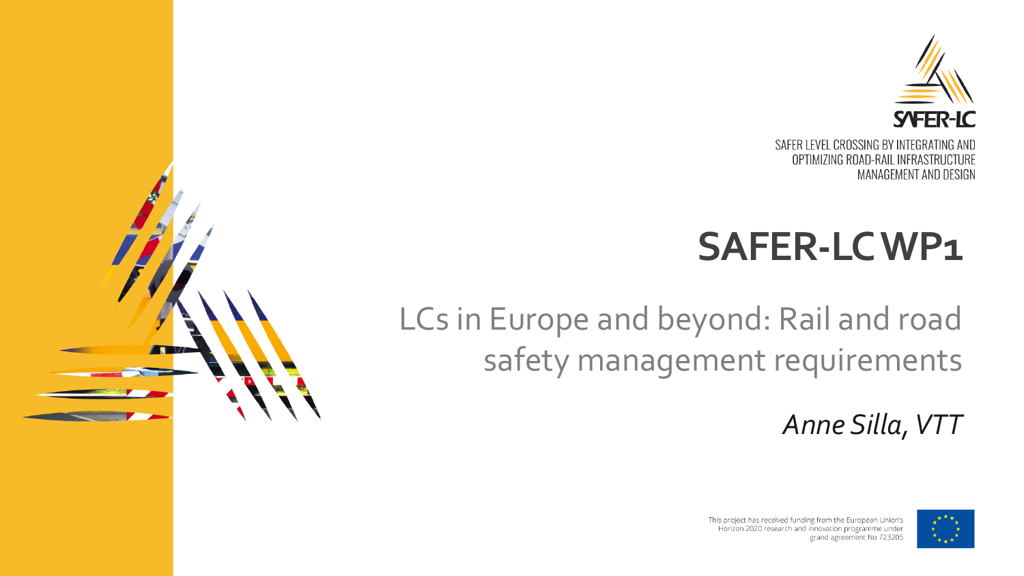

OPTIMIZING ROAD-RAIL INFRASTRUCTURE MANAGEMENT AND DESIGN

# **SAFER-LC WP1**

### LCs in Europe and beyond: Rail and road safety management requirements

*Anne Silla, VTT*



This project has received funding from the European Union's Horizon 2020 research and innovation programme under grand agreement No 723205

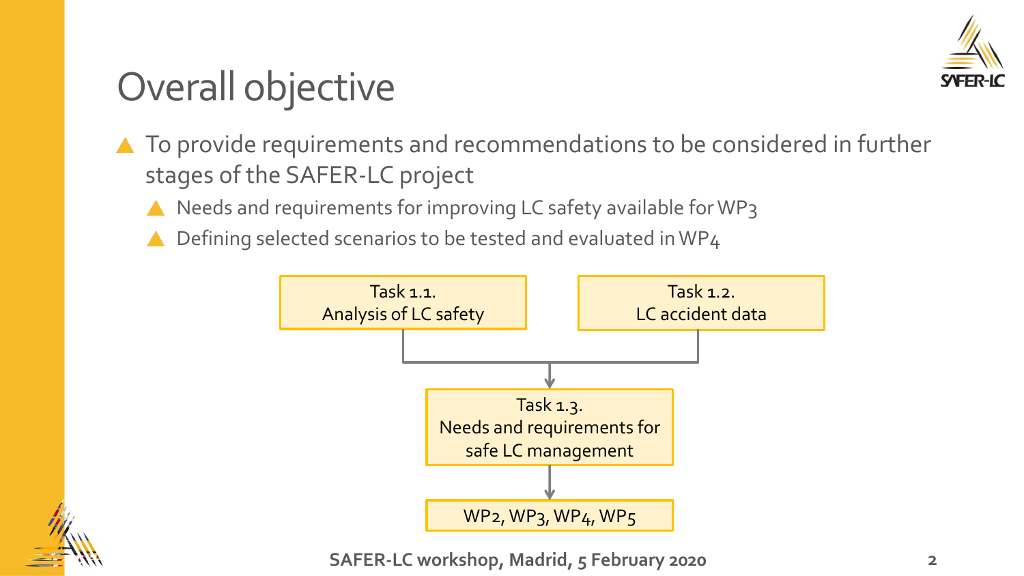

# Overall objective

- ▲ To provide requirements and recommendations to be considered in further stages of the SAFER-LC project
	- A Needs and requirements for improving LC safety available for WP3
	- Defining selected scenarios to be tested and evaluated in WP4





**SAFER-LC workshop, Madrid, 5 February 2020**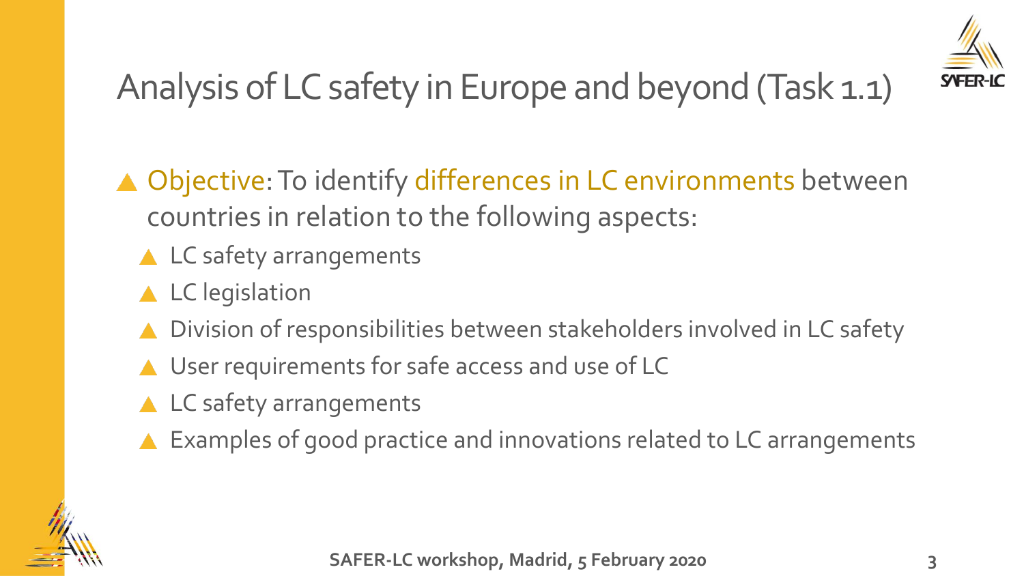

# Analysis of LC safety in Europe and beyond (Task 1.1)

- ▲ Objective: To identify differences in LC environments between countries in relation to the following aspects:
	- ▲ LC safety arrangements
	- ▲ LC legislation
	- Division of responsibilities between stakeholders involved in LC safety
	- ▲ User requirements for safe access and use of LC
	- ▲ LC safety arrangements
	- Examples of good practice and innovations related to LC arrangements

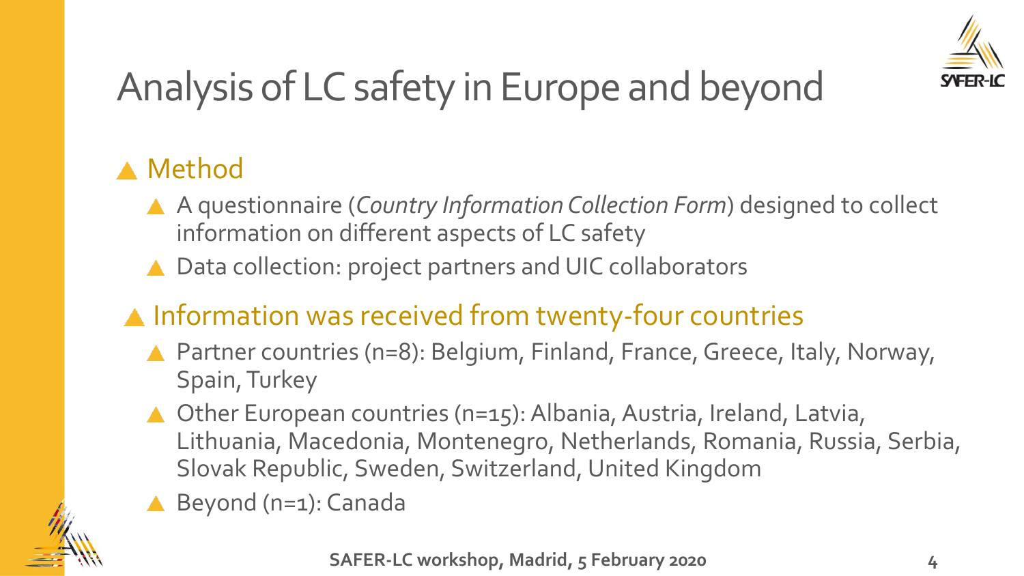

# Analysis of LC safety in Europe and beyond

### Method

- A questionnaire (*Country Information Collection Form*) designed to collect information on different aspects of LC safety
- ▲ Data collection: project partners and UIC collaborators

#### **A** Information was received from twenty-four countries

- ▲ Partner countries (n=8): Belgium, Finland, France, Greece, Italy, Norway, Spain, Turkey
- ▲ Other European countries (n=15): Albania, Austria, Ireland, Latvia, Lithuania, Macedonia, Montenegro, Netherlands, Romania, Russia, Serbia, Slovak Republic, Sweden, Switzerland, United Kingdom
- ▲ Beyond (n=1): Canada

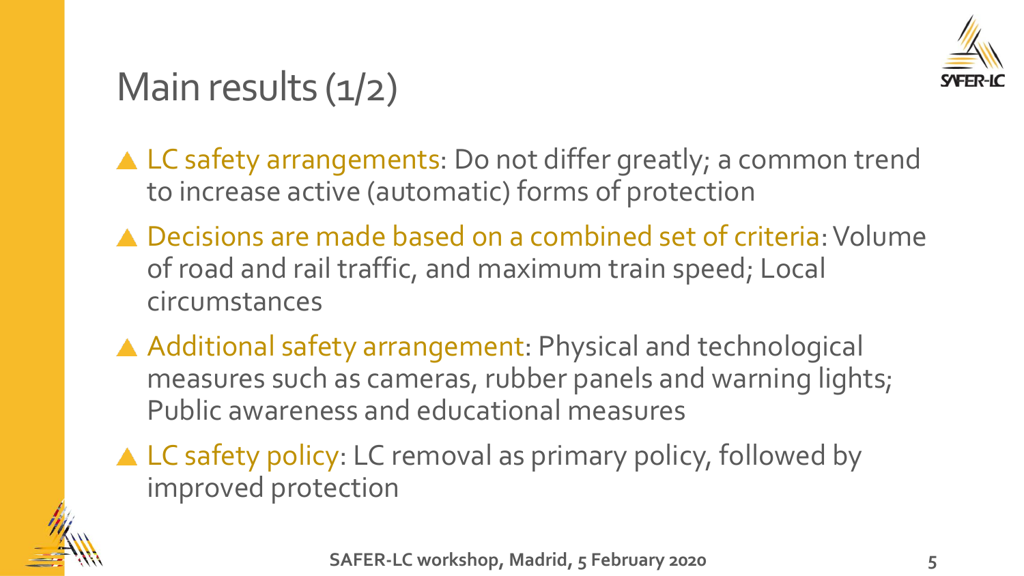

## Main results  $(1/2)$

- ▲ LC safety arrangements: Do not differ greatly; a common trend to increase active (automatic) forms of protection
- ▲ Decisions are made based on a combined set of criteria: Volume of road and rail traffic, and maximum train speed; Local circumstances
- Additional safety arrangement: Physical and technological measures such as cameras, rubber panels and warning lights; Public awareness and educational measures
- ▲ LC safety policy: LC removal as primary policy, followed by improved protection

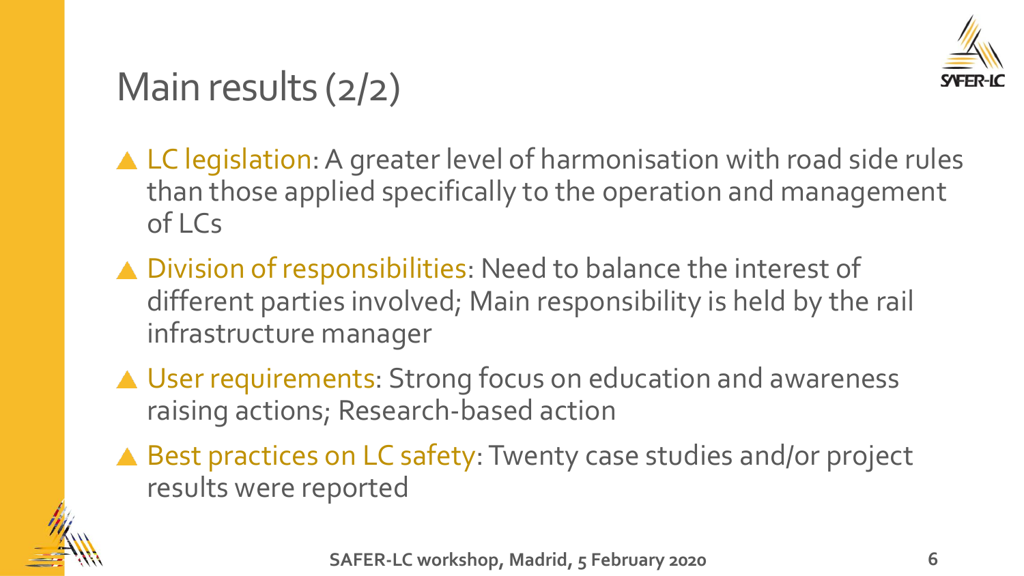

# Main results (2/2)

- ▲ LC legislation: A greater level of harmonisation with road side rules than those applied specifically to the operation and management of LCs
- ▲ Division of responsibilities: Need to balance the interest of different parties involved; Main responsibility is held by the rail infrastructure manager
- ▲ User requirements: Strong focus on education and awareness raising actions; Research-based action
- ▲ Best practices on LC safety: Twenty case studies and/or project results were reported

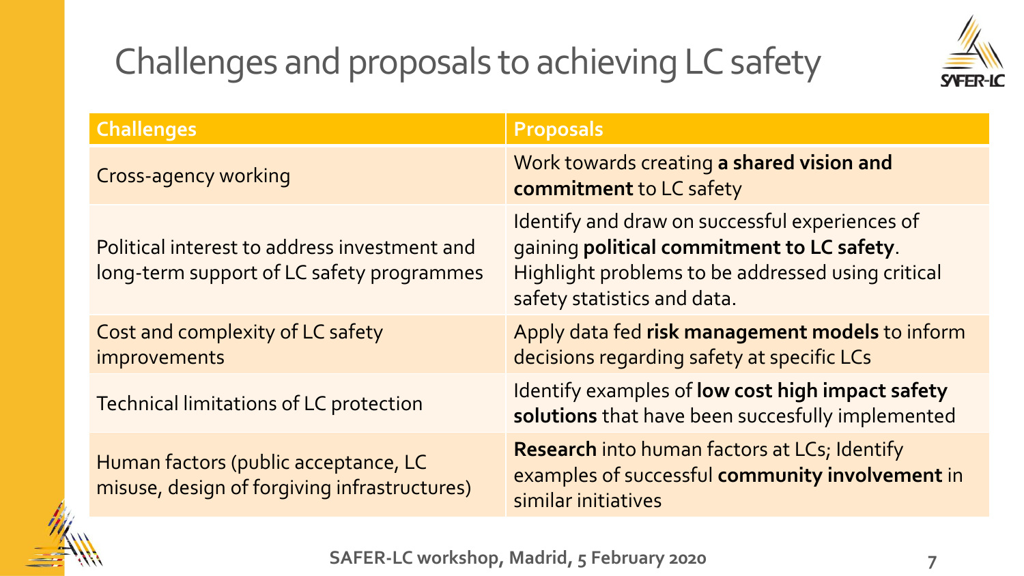## Challenges and proposals to achieving LC safety



| <b>Challenges</b>                                                                         | <b>Proposals</b>                                                                                                                                                                 |
|-------------------------------------------------------------------------------------------|----------------------------------------------------------------------------------------------------------------------------------------------------------------------------------|
| <b>Cross-agency working</b>                                                               | Work towards creating a shared vision and<br>commitment to LC safety                                                                                                             |
| Political interest to address investment and<br>long-term support of LC safety programmes | Identify and draw on successful experiences of<br>gaining political commitment to LC safety.<br>Highlight problems to be addressed using critical<br>safety statistics and data. |
| Cost and complexity of LC safety<br>improvements                                          | Apply data fed risk management models to inform<br>decisions regarding safety at specific LCs                                                                                    |
| Technical limitations of LC protection                                                    | Identify examples of low cost high impact safety<br>solutions that have been succesfully implemented                                                                             |
| Human factors (public acceptance, LC<br>misuse, design of forgiving infrastructures)      | <b>Research</b> into human factors at LCs; Identify<br>examples of successful community involvement in<br>similar initiatives                                                    |



**SAFER-LC workshop, Madrid, 5 February 2020**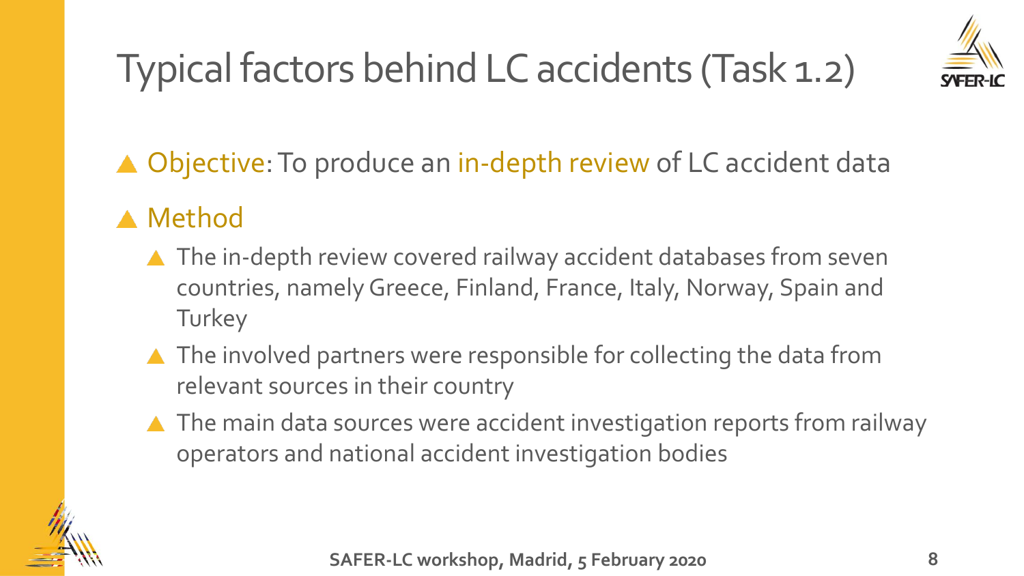# Typical factors behind LC accidents (Task 1.2)



▲ Objective: To produce an in-depth review of LC accident data

#### **A** Method

- ▲ The in-depth review covered railway accident databases from seven countries, namely Greece, Finland, France, Italy, Norway, Spain and **Turkey**
- ▲ The involved partners were responsible for collecting the data from relevant sources in their country
- ▲ The main data sources were accident investigation reports from railway operators and national accident investigation bodies

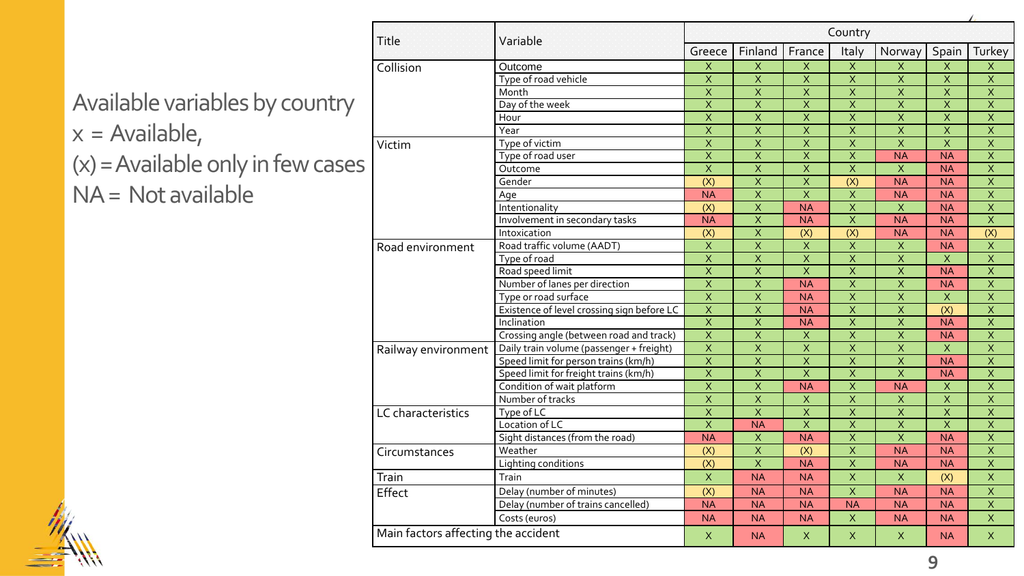|                | Title                               | Variable                                   | Country                   |                         |                         |                           |                           |                          |                         |
|----------------|-------------------------------------|--------------------------------------------|---------------------------|-------------------------|-------------------------|---------------------------|---------------------------|--------------------------|-------------------------|
|                |                                     |                                            | Greece                    | Finland                 | France                  | Italy                     | Norway                    | Spain                    | Turkey                  |
|                | Collision                           | Outcome                                    | $\mathsf X$               | $\mathsf X$             | $\mathsf X$             | $\overline{X}$            | $\overline{\mathsf{x}}$   | $\mathsf{X}$             | X                       |
|                |                                     | Type of road vehicle                       | $\overline{\mathsf{x}}$   | $\overline{X}$          | $\overline{X}$          | $\overline{X}$            | $\overline{\mathsf{x}}$   | $\overline{\mathsf{x}}$  | $\overline{X}$          |
|                |                                     | Month                                      | $\overline{X}$            | $\overline{X}$          | $\overline{X}$          | $\overline{X}$            | $\overline{\mathsf{x}}$   | $\overline{X}$           | $\overline{X}$          |
| ountry         |                                     | Day of the week                            | $\overline{\mathsf{x}}$   | $\overline{\mathsf{x}}$ | $\overline{X}$          | $\overline{\mathsf{x}}$   | $\overline{\mathsf{x}}$   | $\overline{\mathsf{x}}$  | $\overline{\mathsf{x}}$ |
|                |                                     | Hour                                       | $\overline{X}$            | $\overline{X}$          | $\overline{X}$          | $\overline{\mathsf{x}}$   | $\overline{\mathsf{x}}$   | $\overline{\mathsf{x}}$  | $\overline{X}$          |
|                |                                     | Year                                       | $\overline{\mathsf{x}}$   | $\overline{\mathsf{x}}$ | $\overline{\mathsf{x}}$ | $\overline{\mathsf{x}}$   | $\overline{\mathsf{x}}$   | $\overline{\mathsf{x}}$  | $\overline{\mathsf{x}}$ |
|                | Victim                              | Type of victim                             | $\overline{\mathsf{x}}$   | $\overline{X}$          | $\overline{\mathsf{x}}$ | $\overline{\mathsf{x}}$   | $\overline{\mathsf{x}}$   | $\overline{X}$           | $\overline{\mathsf{x}}$ |
|                |                                     | Type of road user                          | $\overline{X}$            | $\overline{X}$          | $\overline{X}$          | $\overline{X}$            | <b>NA</b>                 | $\overline{\mathsf{NA}}$ | $\overline{X}$          |
| <b>N CASES</b> |                                     | Outcome                                    | $\overline{X}$            | $\mathsf X$             | $\mathsf X$             | $\overline{X}$            | $\boldsymbol{\mathsf{X}}$ | <b>NA</b>                | $\overline{X}$          |
|                |                                     | Gender                                     | $\overline{(X)}$          | $\overline{X}$          | $\overline{X}$          | $\overline{(X)}$          | $\overline{\mathsf{NA}}$  | $\overline{\mathsf{NA}}$ | $\overline{X}$          |
|                |                                     | Age                                        | <b>NA</b>                 | $\overline{\mathsf{x}}$ | $\overline{\mathsf{x}}$ | $\overline{X}$            | $\overline{\mathsf{NA}}$  | $\overline{\mathsf{NA}}$ | $\overline{\mathsf{x}}$ |
|                |                                     | Intentionality                             | (X)                       | $\overline{X}$          | <b>NA</b>               | $\overline{X}$            | $\mathsf X$               | <b>NA</b>                | $\overline{\mathsf{x}}$ |
|                |                                     | Involvement in secondary tasks             | <b>NA</b>                 | $\overline{\mathsf{x}}$ | <b>NA</b>               | $\overline{\mathsf{x}}$   | <b>NA</b>                 | <b>NA</b>                | $\overline{X}$          |
|                |                                     | Intoxication                               | (X)                       | $\overline{\mathsf{x}}$ | (X)                     | $\overline{(X)}$          | <b>NA</b>                 | <b>NA</b>                | (X)                     |
|                | Road environment                    | Road traffic volume (AADT)                 | $\overline{X}$            | $\overline{X}$          | $\overline{X}$          | $\overline{X}$            | $\overline{\mathsf{x}}$   | $\overline{\mathsf{NA}}$ | $\overline{X}$          |
|                |                                     | Type of road                               | $\overline{\mathsf{x}}$   | $\overline{\mathsf{x}}$ | $\overline{X}$          | $\overline{\mathsf{x}}$   | $\overline{\mathsf{x}}$   | $\mathsf{X}$             | $\overline{\mathsf{x}}$ |
|                |                                     | Road speed limit                           | $\overline{X}$            | $\overline{X}$          | $\overline{X}$          | $\overline{\mathsf{x}}$   | $\overline{X}$            | $\overline{\mathsf{NA}}$ | $\overline{\mathsf{x}}$ |
|                |                                     | Number of lanes per direction              | $\overline{X}$            | $\overline{X}$          | <b>NA</b>               | $\overline{X}$            | $\overline{X}$            | <b>NA</b>                | $\overline{X}$          |
|                |                                     | Type or road surface                       | $\overline{X}$            | X                       | <b>NA</b>               | $\overline{X}$            | $\mathsf X$               | $\mathsf{X}$             | $\overline{X}$          |
|                |                                     | Existence of level crossing sign before LC | $\overline{X}$            | $\overline{X}$          | <b>NA</b>               | $\overline{X}$            | $\overline{\mathsf{x}}$   | $\overline{(X)}$         | $\overline{X}$          |
|                |                                     | Inclination                                | $\overline{X}$            | $\overline{X}$          | <b>NA</b>               | $\overline{X}$            | $\overline{\mathsf{x}}$   | $\overline{\mathsf{NA}}$ | $\overline{X}$          |
|                |                                     | Crossing angle (between road and track)    | $\overline{X}$            | $\overline{X}$          | $\overline{X}$          | $\overline{X}$            | $\overline{\mathsf{x}}$   | <b>NA</b>                | $\overline{\mathsf{x}}$ |
|                | Railway environment                 | Daily train volume (passenger + freight)   | $\overline{X}$            | $\overline{\mathsf{x}}$ | $\overline{X}$          | $\overline{X}$            | $\overline{X}$            | $\mathsf X$              | $\overline{\mathsf{x}}$ |
|                |                                     | Speed limit for person trains (km/h)       | $\overline{X}$            | $\overline{\mathsf{x}}$ | $\mathsf X$             | $\overline{X}$            | $\overline{\mathsf{x}}$   | $\overline{\mathsf{NA}}$ | $\overline{X}$          |
|                |                                     | Speed limit for freight trains (km/h)      | $\overline{\mathsf{x}}$   | $\overline{\mathsf{x}}$ | $\overline{X}$          | $\overline{X}$            | $\overline{\mathsf{x}}$   | $\overline{\mathsf{NA}}$ | $\overline{\mathsf{x}}$ |
|                |                                     | Condition of wait platform                 | $\overline{X}$            | $\overline{X}$          | <b>NA</b>               | $\overline{X}$            | <b>NA</b>                 | $\mathsf X$              | $\overline{X}$          |
|                |                                     | Number of tracks                           | $\overline{X}$            | $\overline{X}$          | $\overline{X}$          | $\overline{\mathsf{x}}$   | $\overline{X}$            | $\overline{X}$           | $\overline{\mathsf{x}}$ |
|                | LC characteristics                  | Type of LC                                 | $\overline{X}$            | $\overline{X}$          | $\overline{X}$          | $\overline{X}$            | $\overline{X}$            | $\overline{\mathsf{x}}$  | $\overline{\mathsf{x}}$ |
|                |                                     | Location of LC                             | $\overline{\mathsf{x}}$   | <b>NA</b>               | $\overline{X}$          | $\boldsymbol{\mathsf{X}}$ | $\mathsf X$               | $\overline{\mathsf{x}}$  | $\overline{\mathsf{x}}$ |
|                |                                     | Sight distances (from the road)            | <b>NA</b>                 | $\mathsf{X}$            | <b>NA</b>               | $\overline{\mathsf{x}}$   | $\overline{\mathsf{x}}$   | <b>NA</b>                | $\overline{\mathsf{x}}$ |
|                | Circumstances                       | Weather                                    | $\overline{(X)}$          | $\overline{X}$          | $\overline{(X)}$        | $\overline{X}$            | <b>NA</b>                 | $\overline{\mathsf{NA}}$ | $\overline{X}$          |
|                |                                     | Lighting conditions                        | (X)                       | $\overline{X}$          | <b>NA</b>               | $\overline{X}$            | <b>NA</b>                 | <b>NA</b>                | $\overline{X}$          |
|                | Train                               | Train                                      | $\boldsymbol{\mathsf{X}}$ | <b>NA</b>               | <b>NA</b>               | $\bar{\mathsf{X}}$        | $\mathsf X$               | (X)                      | $\mathsf X$             |
|                | Effect                              | Delay (number of minutes)                  | (X)                       | <b>NA</b>               | <b>NA</b>               | $\overline{X}$            | <b>NA</b>                 | <b>NA</b>                | $\overline{X}$          |
|                |                                     | Delay (number of trains cancelled)         | <b>NA</b>                 | <b>NA</b>               | <b>NA</b>               | <b>NA</b>                 | <b>NA</b>                 | <b>NA</b>                | $\mathsf X$             |
|                |                                     | Costs (euros)                              | <b>NA</b>                 | <b>NA</b>               | <b>NA</b>               | $\mathsf X$               | <b>NA</b>                 | <b>NA</b>                | X                       |
|                | Main factors affecting the accident |                                            | X                         | <b>NA</b>               | X                       | X                         | X                         | <b>NA</b>                | $\mathsf{X}$            |

Available variables by co  $x =$  Available,  $(x)$  = Available only in few

 $NA = Not available$ 

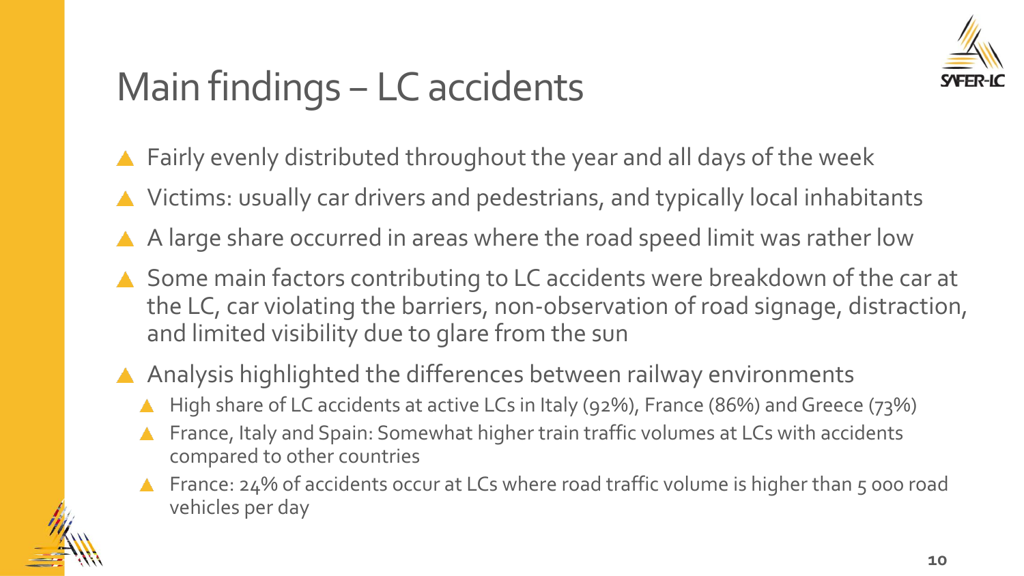

# Main findings – LC accidents

- Fairly evenly distributed throughout the year and all days of the week
- ▲ Victims: usually car drivers and pedestrians, and typically local inhabitants
- A A large share occurred in areas where the road speed limit was rather low
- ▲ Some main factors contributing to LC accidents were breakdown of the car at the LC, car violating the barriers, non-observation of road signage, distraction, and limited visibility due to glare from the sun
- A Analysis highlighted the differences between railway environments
	- High share of LC accidents at active LCs in Italy (92%), France (86%) and Greece (73%)
	- France, Italy and Spain: Somewhat higher train traffic volumes at LCs with accidents compared to other countries
	- France: 24% of accidents occur at LCs where road traffic volume is higher than 5 000 road vehicles per day

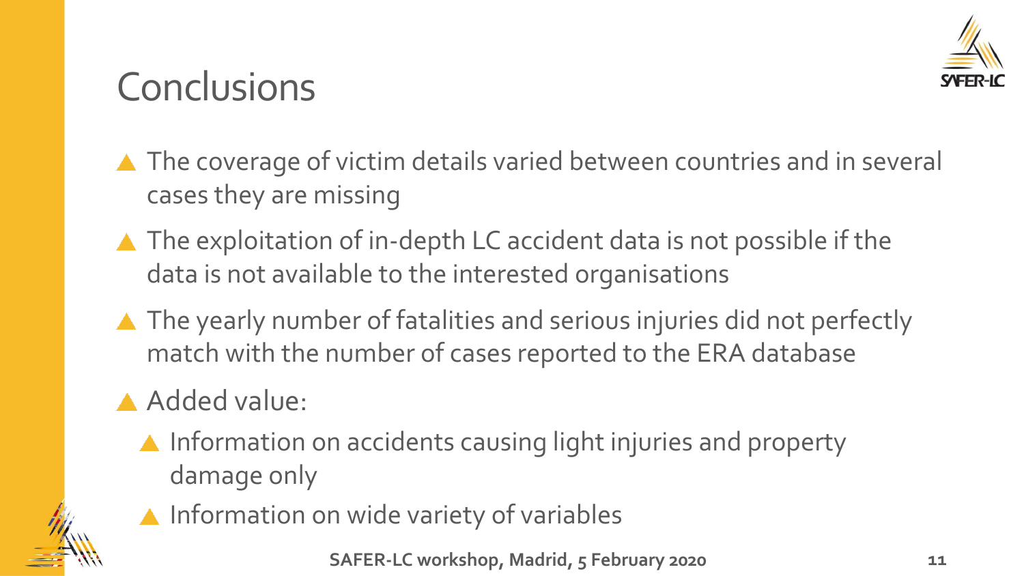

### **Conclusions**

- ▲ The coverage of victim details varied between countries and in several cases they are missing
- ▲ The exploitation of in-depth LC accident data is not possible if the data is not available to the interested organisations
- ▲ The yearly number of fatalities and serious injuries did not perfectly match with the number of cases reported to the ERA database

### Added value:

- $\blacktriangle$  Information on accidents causing light injuries and property damage only
- 
- **A** Information on wide variety of variables

**SAFER-LC workshop, Madrid, 5 February 2020**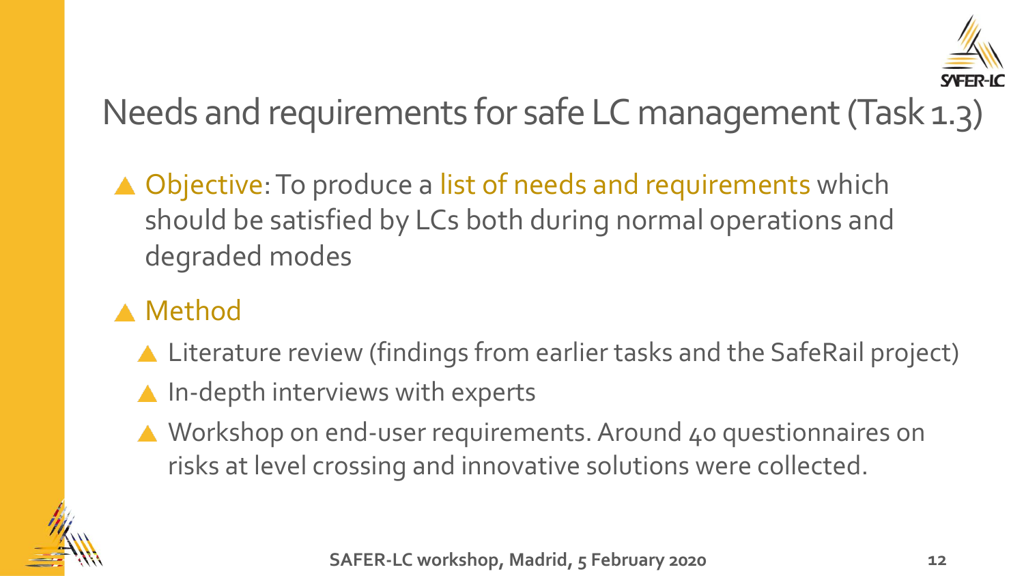

Needs and requirements for safe LC management (Task 1.3)

▲ Objective: To produce a list of needs and requirements which should be satisfied by LCs both during normal operations and degraded modes

#### **A** Method

- ▲ Literature review (findings from earlier tasks and the SafeRail project)
- $\triangle$  In-depth interviews with experts
- ▲ Workshop on end-user requirements. Around 40 questionnaires on risks at level crossing and innovative solutions were collected.

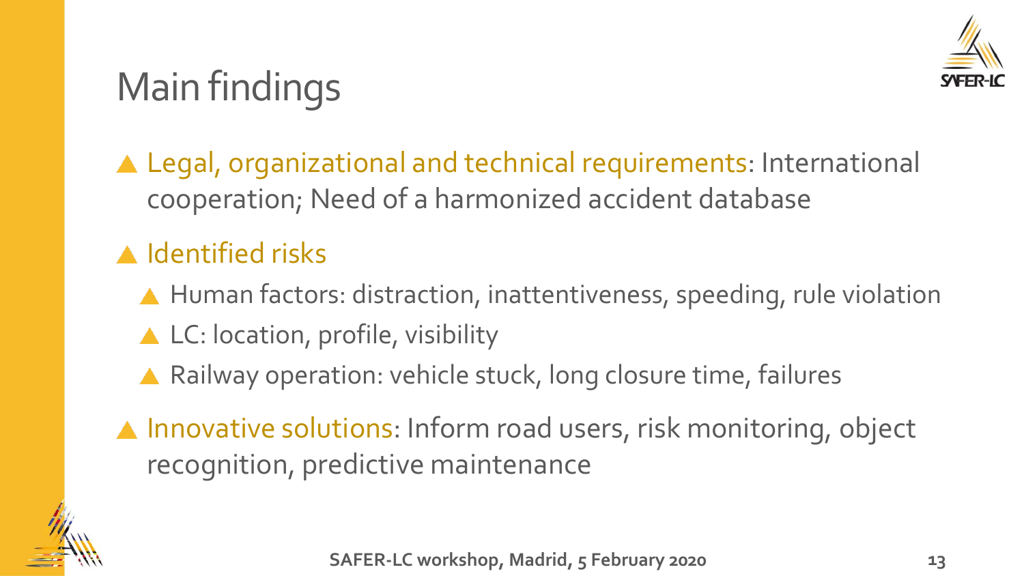

# Main findings

Legal, organizational and technical requirements: International cooperation; Need of a harmonized accident database

#### **A** Identified risks

- ▲ Human factors: distraction, inattentiveness, speeding, rule violation
- ▲ LC: location, profile, visibility
- ▲ Railway operation: vehicle stuck, long closure time, failures
- ▲ Innovative solutions: Inform road users, risk monitoring, object recognition, predictive maintenance

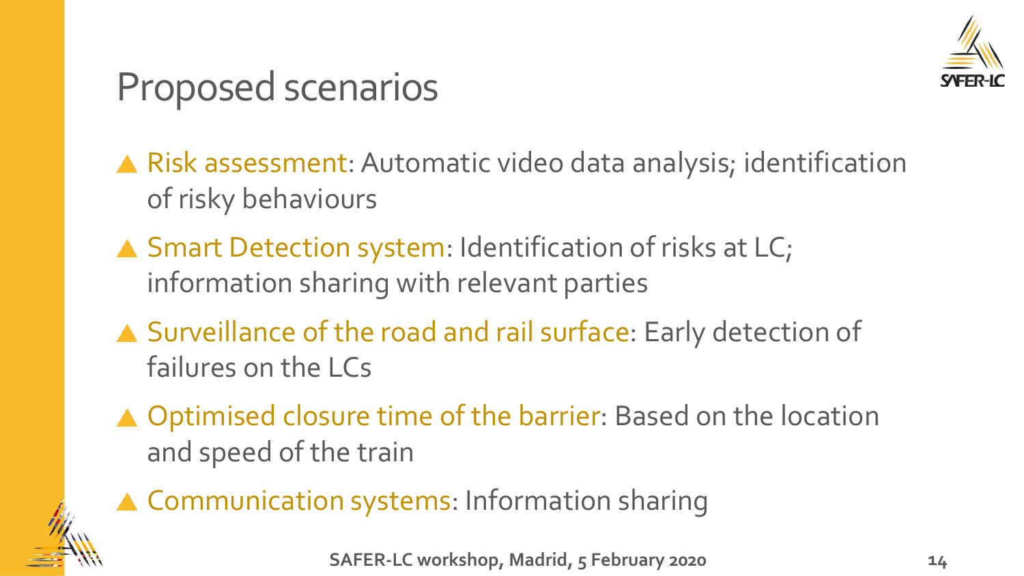

### Proposed scenarios

Risk assessment: Automatic video data analysis; identification of risky behaviours

- ▲ Smart Detection system: Identification of risks at LC; information sharing with relevant parties
- ▲ Surveillance of the road and rail surface: Early detection of failures on the LCs
- ▲ Optimised closure time of the barrier: Based on the location and speed of the train



▲ Communication systems: Information sharing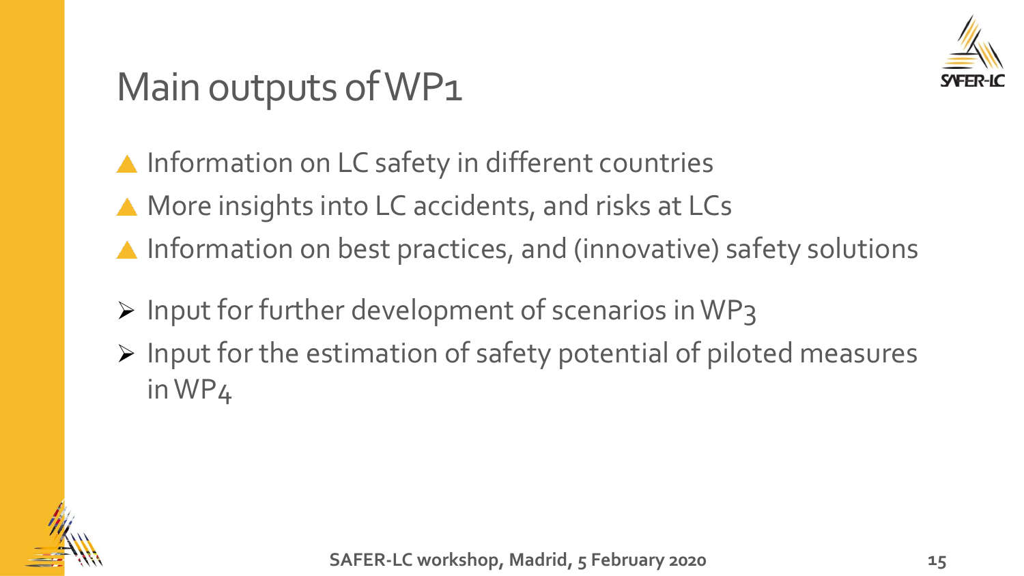

### Main outputs of WP1

▲ Information on LC safety in different countries

- ▲ More insights into LC accidents, and risks at LCs
- ▲ Information on best practices, and (innovative) safety solutions
- ➢ Input for further development of scenarios in WP3
- ➢ Input for the estimation of safety potential of piloted measures in WP4